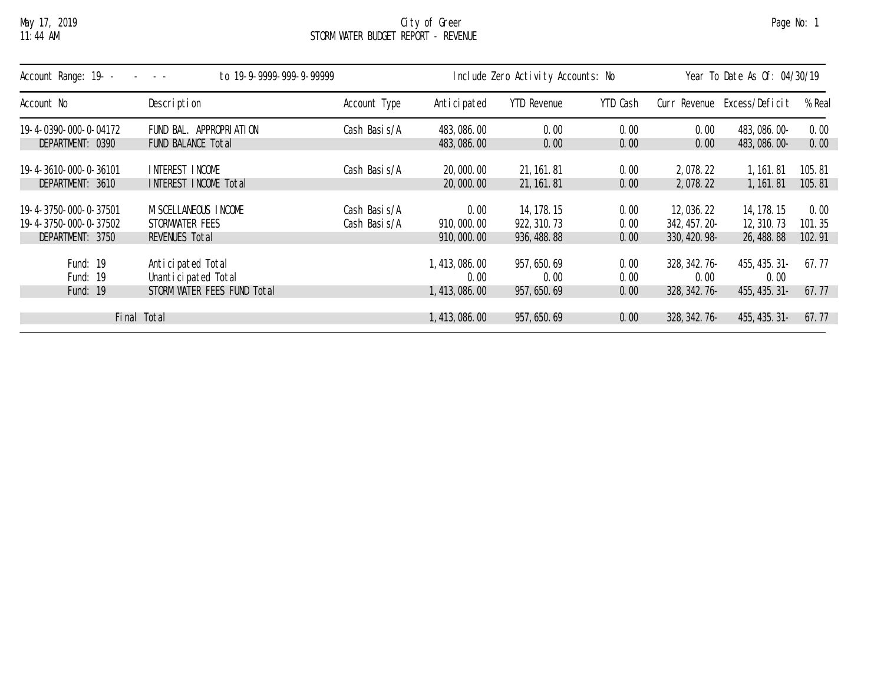## May 17, 2019 City of Greer Page No: 1 11:44 AM STORM WATER BUDGET REPORT - REVENUE

| Account Range: 19- -<br>to 19-9-9999-999-9-99999 |                             |               | Include Zero Activity Accounts: No |                    |          |               | Year To Date As Of: 04/30/19 |        |  |
|--------------------------------------------------|-----------------------------|---------------|------------------------------------|--------------------|----------|---------------|------------------------------|--------|--|
| Account No                                       | Description                 | Account Type  | Anticipated                        | <b>YTD Revenue</b> | YTD Cash | Curr Revenue  | Excess/Deficit               | % Real |  |
| 19-4-0390-000-0-04172                            | FUND BAL. APPROPRIATION     | Cash Basis/A  | 483, 086. 00                       | 0.00               | 0.00     | 0.00          | 483, 086. 00-                | 0.00   |  |
| DEPARTMENT: 0390                                 | FUND BALANCE Total          |               | 483, 086. 00                       | 0.00               | 0.00     | 0.00          | 483, 086. 00-                | 0.00   |  |
| 19-4-3610-000-0-36101                            | INTEREST INCOME             | Cash Basis/A  | 20,000.00                          | 21, 161. 81        | 0.00     | 2,078.22      | 1, 161.81                    | 105.81 |  |
| DEPARTMENT: 3610                                 | INTEREST INCOME Total       |               | 20,000.00                          | 21, 161, 81        | 0.00     | 2, 078. 22    | 1, 161. 81                   | 105.81 |  |
| 19-4-3750-000-0-37501                            | MI SCELLANEOUS INCOME       | Cash Basis/A  | 0.00                               | 14, 178. 15        | 0.00     | 12,036.22     | 14, 178. 15                  | 0.00   |  |
| 19-4-3750-000-0-37502                            | STORMWATER FEES             | Cash Basi s/A | 910, 000, 00                       | 922, 310. 73       | 0.00     | 342, 457. 20- | 12, 310. 73                  | 101.35 |  |
| DEPARTMENT: 3750                                 | REVENUES Total              |               | 910, 000. 00                       | 936, 488. 88       | 0.00     | 330, 420. 98- | 26, 488. 88                  | 102.91 |  |
| Fund: 19                                         | Anticipated Total           |               | 1, 413, 086. 00                    | 957, 650. 69       | 0.00     | 328, 342. 76- | 455, 435, 31-                | 67.77  |  |
| Fund: 19                                         | Unanticipated Total         |               | 0.00                               | 0.00               | 0.00     | 0.00          | 0.00                         |        |  |
| Fund: 19                                         | STORM WATER FEES FUND Total |               | 1, 413, 086. 00                    | 957, 650. 69       | 0.00     | 328, 342. 76- | 455, 435. 31-                | 67.77  |  |
| Total<br>Fi nal                                  |                             |               | 1, 413, 086. 00                    | 957, 650. 69       | 0.00     | 328, 342. 76- | 455, 435. 31-                | 67.77  |  |
|                                                  |                             |               |                                    |                    |          |               |                              |        |  |